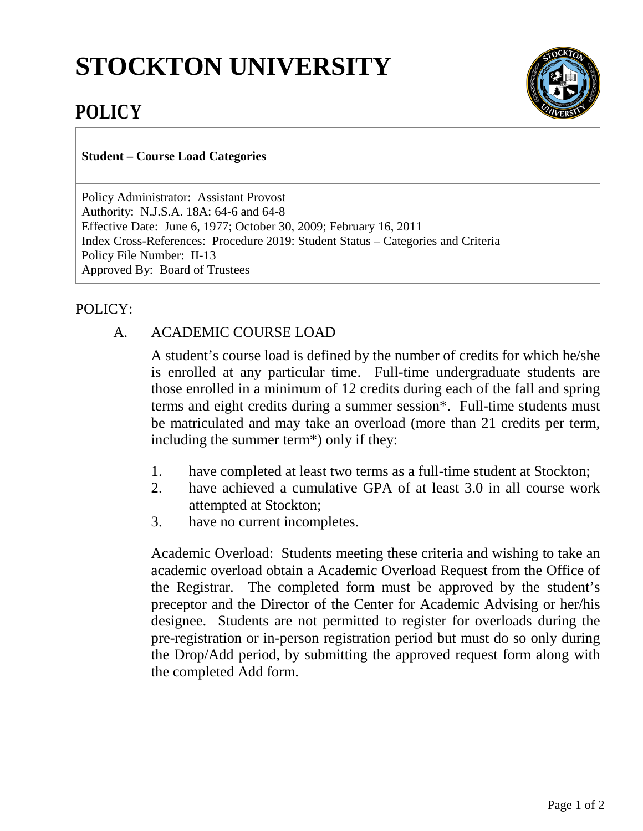## **STOCKTON UNIVERSITY**



## **POLICY**

**Student – Course Load Categories**

Policy Administrator: Assistant Provost Authority: N.J.S.A. 18A: 64-6 and 64-8 Effective Date: June 6, 1977; October 30, 2009; February 16, 2011 Index Cross-References: Procedure 2019: Student Status – Categories and Criteria Policy File Number: II-13 Approved By: Board of Trustees

## POLICY:

## A. ACADEMIC COURSE LOAD

A student's course load is defined by the number of credits for which he/she is enrolled at any particular time. Full-time undergraduate students are those enrolled in a minimum of 12 credits during each of the fall and spring terms and eight credits during a summer session\*. Full-time students must be matriculated and may take an overload (more than 21 credits per term, including the summer term\*) only if they:

- 1. have completed at least two terms as a full-time student at Stockton;
- 2. have achieved a cumulative GPA of at least 3.0 in all course work attempted at Stockton;
- 3. have no current incompletes.

Academic Overload: Students meeting these criteria and wishing to take an academic overload obtain a Academic Overload Request from the Office of the Registrar. The completed form must be approved by the student's preceptor and the Director of the Center for Academic Advising or her/his designee. Students are not permitted to register for overloads during the pre-registration or in-person registration period but must do so only during the Drop/Add period, by submitting the approved request form along with the completed Add form.